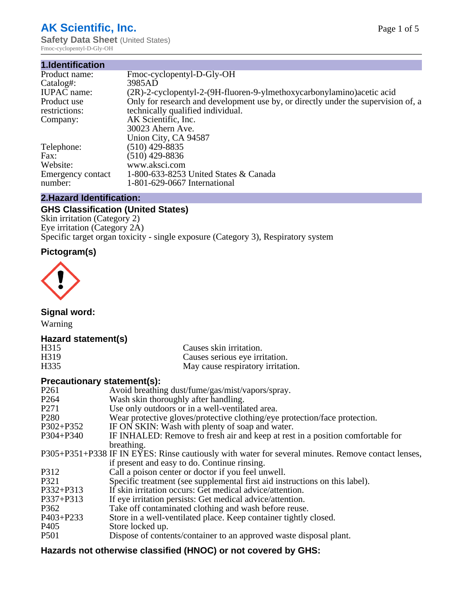# **AK Scientific, Inc.**

**Safety Data Sheet (United States)** Fmoc-cyclopentyl-D-Gly-OH

| 1.Identification   |                                                                                   |
|--------------------|-----------------------------------------------------------------------------------|
| Product name:      | Fmoc-cyclopentyl-D-Gly-OH                                                         |
| Catalog#:          | 3985AD                                                                            |
| <b>IUPAC</b> name: | $(2R)$ -2-cyclopentyl-2- $(9H$ -fluoren-9-ylmethoxycarbonylamino)acetic acid      |
| Product use        | Only for research and development use by, or directly under the supervision of, a |
| restrictions:      | technically qualified individual.                                                 |
| Company:           | AK Scientific, Inc.                                                               |
|                    | 30023 Ahern Ave.                                                                  |
|                    | Union City, CA 94587                                                              |
| Telephone:         | (510) 429-8835                                                                    |
| Fax:               | (510) 429-8836                                                                    |
| Website:           | www.aksci.com                                                                     |
| Emergency contact  | 1-800-633-8253 United States & Canada                                             |
| number:            | 1-801-629-0667 International                                                      |

# **2.Hazard Identification:**

# **GHS Classification (United States)**

Skin irritation (Category 2) Eye irritation (Category 2A) Specific target organ toxicity - single exposure (Category 3), Respiratory system

# **Pictogram(s)**



**Signal word:**

Warning

# **Hazard statement(s)**

| H <sub>315</sub>  | Causes skin irritation.           |
|-------------------|-----------------------------------|
| H <sub>3</sub> 19 | Causes serious eye irritation.    |
| H335              | May cause respiratory irritation. |

## **Precautionary statement(s):**

| P <sub>261</sub> | Avoid breathing dust/fume/gas/mist/vapors/spray.                                                   |
|------------------|----------------------------------------------------------------------------------------------------|
| P <sub>264</sub> | Wash skin thoroughly after handling.                                                               |
| P <sub>271</sub> | Use only outdoors or in a well-ventilated area.                                                    |
| P <sub>280</sub> | Wear protective gloves/protective clothing/eye protection/face protection.                         |
| P302+P352        | IF ON SKIN: Wash with plenty of soap and water.                                                    |
| $P304 + P340$    | IF INHALED: Remove to fresh air and keep at rest in a position comfortable for                     |
|                  | breathing.                                                                                         |
|                  | P305+P351+P338 IF IN EYES: Rinse cautiously with water for several minutes. Remove contact lenses, |
|                  | if present and easy to do. Continue rinsing.                                                       |
| P312             | Call a poison center or doctor if you feel unwell.                                                 |
| P321             | Specific treatment (see supplemental first aid instructions on this label).                        |
| P332+P313        | If skin irritation occurs: Get medical advice/attention.                                           |
| P337+P313        | If eye irritation persists: Get medical advice/attention.                                          |
| P362             | Take off contaminated clothing and wash before reuse.                                              |
| P403+P233        | Store in a well-ventilated place. Keep container tightly closed.                                   |
| P <sub>405</sub> | Store locked up.                                                                                   |
| P <sub>501</sub> | Dispose of contents/container to an approved waste disposal plant.                                 |
|                  |                                                                                                    |

# **Hazards not otherwise classified (HNOC) or not covered by GHS:**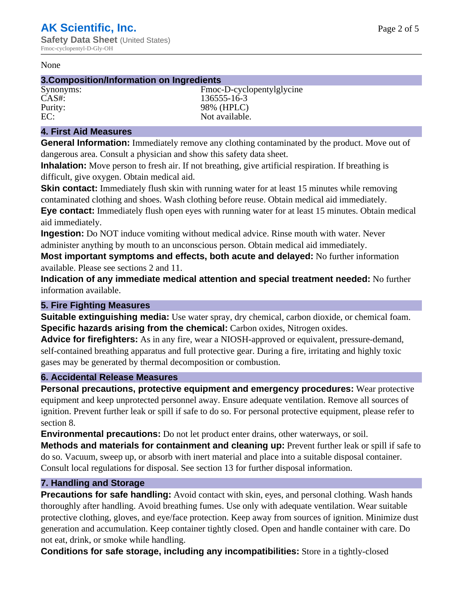#### None

## **3.Composition/Information on Ingredients**

Synonyms: Fmoc-D-cyclopentylglycine CAS#: 136555-16-3 Purity: 98% (HPLC)<br>EC: Not available. Not available.

## **4. First Aid Measures**

**General Information:** Immediately remove any clothing contaminated by the product. Move out of dangerous area. Consult a physician and show this safety data sheet.

**Inhalation:** Move person to fresh air. If not breathing, give artificial respiration. If breathing is difficult, give oxygen. Obtain medical aid.

**Skin contact:** Immediately flush skin with running water for at least 15 minutes while removing contaminated clothing and shoes. Wash clothing before reuse. Obtain medical aid immediately. **Eye contact:** Immediately flush open eyes with running water for at least 15 minutes. Obtain medical aid immediately.

**Ingestion:** Do NOT induce vomiting without medical advice. Rinse mouth with water. Never administer anything by mouth to an unconscious person. Obtain medical aid immediately.

**Most important symptoms and effects, both acute and delayed:** No further information available. Please see sections 2 and 11.

**Indication of any immediate medical attention and special treatment needed:** No further information available.

## **5. Fire Fighting Measures**

**Suitable extinguishing media:** Use water spray, dry chemical, carbon dioxide, or chemical foam. **Specific hazards arising from the chemical:** Carbon oxides, Nitrogen oxides.

**Advice for firefighters:** As in any fire, wear a NIOSH-approved or equivalent, pressure-demand, self-contained breathing apparatus and full protective gear. During a fire, irritating and highly toxic gases may be generated by thermal decomposition or combustion.

## **6. Accidental Release Measures**

**Personal precautions, protective equipment and emergency procedures:** Wear protective equipment and keep unprotected personnel away. Ensure adequate ventilation. Remove all sources of ignition. Prevent further leak or spill if safe to do so. For personal protective equipment, please refer to section 8.

**Environmental precautions:** Do not let product enter drains, other waterways, or soil.

**Methods and materials for containment and cleaning up:** Prevent further leak or spill if safe to do so. Vacuum, sweep up, or absorb with inert material and place into a suitable disposal container. Consult local regulations for disposal. See section 13 for further disposal information.

## **7. Handling and Storage**

**Precautions for safe handling:** Avoid contact with skin, eyes, and personal clothing. Wash hands thoroughly after handling. Avoid breathing fumes. Use only with adequate ventilation. Wear suitable protective clothing, gloves, and eye/face protection. Keep away from sources of ignition. Minimize dust generation and accumulation. Keep container tightly closed. Open and handle container with care. Do not eat, drink, or smoke while handling.

**Conditions for safe storage, including any incompatibilities:** Store in a tightly-closed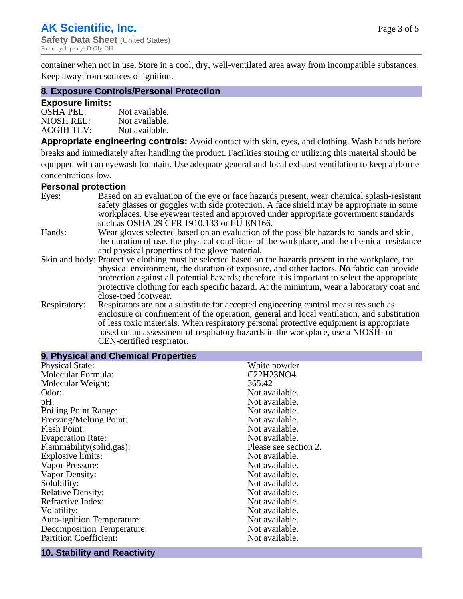container when not in use. Store in a cool, dry, well-ventilated area away from incompatible substances. Keep away from sources of ignition.

#### **8. Exposure Controls/Personal Protection**

#### **Exposure limits:**

| <b>OSHA PEL:</b>  | Not available. |
|-------------------|----------------|
| NIOSH REL:        | Not available. |
| <b>ACGIH TLV:</b> | Not available. |

**Appropriate engineering controls:** Avoid contact with skin, eyes, and clothing. Wash hands before breaks and immediately after handling the product. Facilities storing or utilizing this material should be equipped with an eyewash fountain. Use adequate general and local exhaust ventilation to keep airborne concentrations low.

#### **Personal protection**

| Eyes:        | Based on an evaluation of the eye or face hazards present, wear chemical splash-resistant<br>safety glasses or goggles with side protection. A face shield may be appropriate in some |
|--------------|---------------------------------------------------------------------------------------------------------------------------------------------------------------------------------------|
|              | workplaces. Use eyewear tested and approved under appropriate government standards<br>such as OSHA 29 CFR 1910.133 or EU EN166.                                                       |
| Hands:       | Wear gloves selected based on an evaluation of the possible hazards to hands and skin,                                                                                                |
|              | the duration of use, the physical conditions of the workplace, and the chemical resistance                                                                                            |
|              | and physical properties of the glove material.                                                                                                                                        |
|              | Skin and body: Protective clothing must be selected based on the hazards present in the workplace, the                                                                                |
|              | physical environment, the duration of exposure, and other factors. No fabric can provide                                                                                              |
|              | protection against all potential hazards; therefore it is important to select the appropriate                                                                                         |
|              | protective clothing for each specific hazard. At the minimum, wear a laboratory coat and                                                                                              |
|              | close-toed footwear.                                                                                                                                                                  |
| Respiratory: | Respirators are not a substitute for accepted engineering control measures such as<br>enclosure or confinement of the operation, general and local ventilation, and substitution      |
|              | of less toxic materials. When respiratory personal protective equipment is appropriate                                                                                                |
|              | based on an assessment of respiratory hazards in the workplace, use a NIOSH- or                                                                                                       |
|              | CEN-certified respirator.                                                                                                                                                             |

| 9. Physical and Chemical Properties |                       |
|-------------------------------------|-----------------------|
| <b>Physical State:</b>              | White powder          |
| Molecular Formula:                  | C22H23NO4             |
| Molecular Weight:                   | 365.42                |
| Odor:                               | Not available.        |
| pH:                                 | Not available.        |
| <b>Boiling Point Range:</b>         | Not available.        |
| Freezing/Melting Point:             | Not available.        |
| <b>Flash Point:</b>                 | Not available.        |
| <b>Evaporation Rate:</b>            | Not available.        |
| Flammability(solid,gas):            | Please see section 2. |
| <b>Explosive limits:</b>            | Not available.        |
| Vapor Pressure:                     | Not available.        |
| Vapor Density:                      | Not available.        |
| Solubility:                         | Not available.        |
| <b>Relative Density:</b>            | Not available.        |
| Refractive Index:                   | Not available.        |
| Volatility:                         | Not available.        |
| <b>Auto-ignition Temperature:</b>   | Not available.        |
| <b>Decomposition Temperature:</b>   | Not available.        |
| <b>Partition Coefficient:</b>       | Not available.        |

# **10. Stability and Reactivity**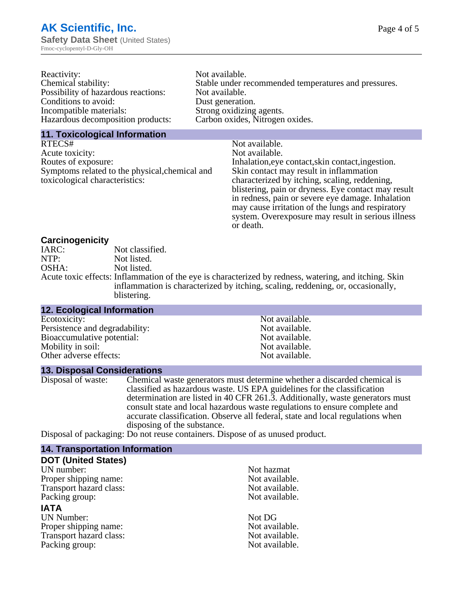| Reactivity:                         | Not available.                                       |
|-------------------------------------|------------------------------------------------------|
| Chemical stability:                 | Stable under recommended temperatures and pressures. |
| Possibility of hazardous reactions: | Not available.                                       |
| Conditions to avoid:                | Dust generation.                                     |
| Incompatible materials:             | Strong oxidizing agents.                             |
| Hazardous decomposition products:   | Carbon oxides, Nitrogen oxides.                      |
|                                     |                                                      |

#### **11. Toxicological Information**

| RTECS#                                         | Not available.                                      |
|------------------------------------------------|-----------------------------------------------------|
| Acute toxicity:                                | Not available.                                      |
| Routes of exposure:                            | Inhalation, eye contact, skin contact, ingestion.   |
| Symptoms related to the physical, chemical and | Skin contact may result in inflammation             |
| toxicological characteristics:                 | characterized by itching, scaling, reddening,       |
|                                                | blistering, pain or dryness. Eye contact may result |
|                                                | in redness, pain or severe eye damage. Inhalation   |
|                                                | may cause irritation of the lungs and respiratory   |
|                                                | system. Overexposure may result in serious illness  |

or death.

#### **Carcinogenicity**

| IARC: | Not classified.                                                                                       |
|-------|-------------------------------------------------------------------------------------------------------|
| NTP:  | Not listed.                                                                                           |
| OSHA: | Not listed.                                                                                           |
|       | Acute toxic effects: Inflammation of the eye is characterized by redness, watering, and itching. Skin |
|       | inflammation is characterized by itching, scaling, reddening, or, occasionally,                       |
|       | blistering.                                                                                           |

| <b>12. Ecological Information</b> |                |  |
|-----------------------------------|----------------|--|
| Ecotoxicity:                      | Not available. |  |
| Persistence and degradability:    | Not available. |  |
| Bioaccumulative potential:        | Not available. |  |
| Mobility in soil:                 | Not available. |  |
| Other adverse effects:            | Not available. |  |

#### **13. Disposal Considerations**

Disposal of waste: Chemical waste generators must determine whether a discarded chemical is classified as hazardous waste. US EPA guidelines for the classification determination are listed in 40 CFR 261.3. Additionally, waste generators must consult state and local hazardous waste regulations to ensure complete and accurate classification. Observe all federal, state and local regulations when disposing of the substance.

Disposal of packaging: Do not reuse containers. Dispose of as unused product.

| <b>14. Transportation Information</b> |                |
|---------------------------------------|----------------|
| <b>DOT (United States)</b>            |                |
| UN number:                            | Not hazmat     |
| Proper shipping name:                 | Not available. |
| Transport hazard class:               | Not available. |
| Packing group:                        | Not available. |
| <b>IATA</b>                           |                |
| <b>UN Number:</b>                     | Not DG         |
| Proper shipping name:                 | Not available. |
| Transport hazard class:               | Not available. |
| Packing group:                        | Not available. |